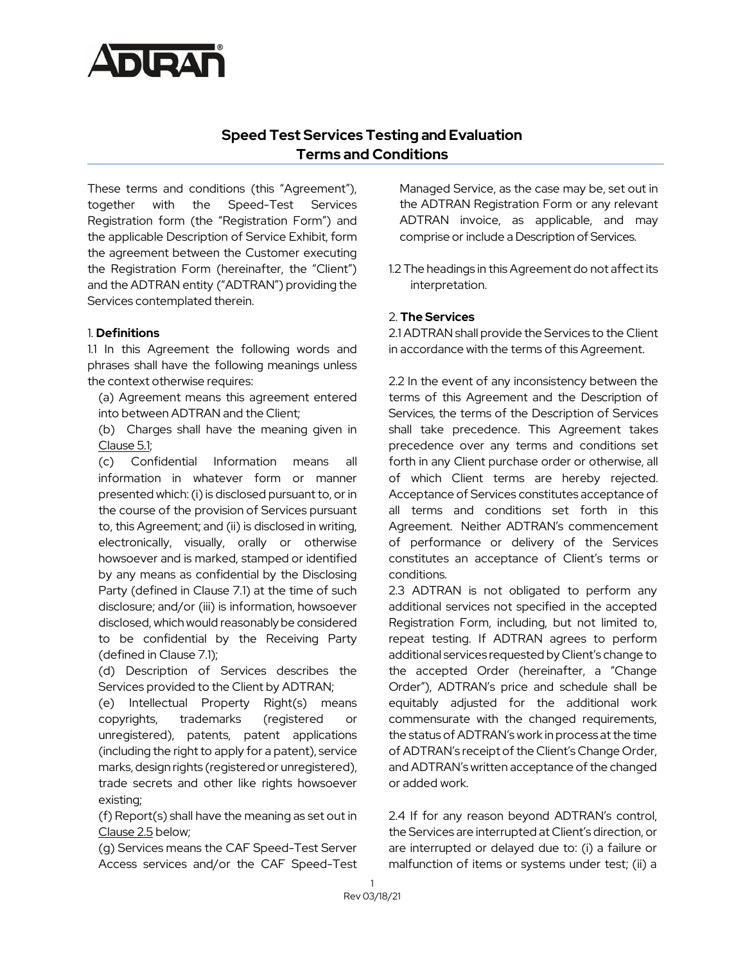

# **Speed Test Services Testing and Evaluation Terms and Conditions**

These terms and conditions (this "Agreement"), together with the Speed-Test Services Registration form (the "Registration Form") and the applicable Description of Service Exhibit, form the agreement between the Customer executing the Registration Form (hereinafter, the "Client") and the ADTRAN entity ("ADTRAN") providing the Services contemplated therein.

#### 1. **Definitions**

1.1 In this Agreement the following words and phrases shall have the following meanings unless the context otherwise requires:

(a) Agreement means this agreement entered into between ADTRAN and the Client;

(b) Charges shall have the meaning given in Clause 5.1;

(c) Confidential Information means all information in whatever form or manner presented which: (i) is disclosed pursuant to, or in the course of the provision of Services pursuant to, this Agreement; and (ii) is disclosed in writing, electronically, visually, orally or otherwise howsoever and is marked, stamped or identified by any means as confidential by the Disclosing Party (defined in Clause 7.1) at the time of such disclosure; and/or (iii) is information, howsoever disclosed, which would reasonably be considered to be confidential by the Receiving Party (defined in Clause 7.1);

(d) Description of Services describes the Services provided to the Client by ADTRAN;

(e) Intellectual Property Right(s) means copyrights, trademarks (registered or unregistered), patents, patent applications (including the right to apply for a patent), service marks, design rights (registered or unregistered), trade secrets and other like rights howsoever existing;

(f) Report(s) shall have the meaning as set out in Clause 2.5 below;

(g) Services means the CAF Speed-Test Server Access services and/or the CAF Speed-Test Managed Service, as the case may be, set out in the ADTRAN Registration Form or any relevant ADTRAN invoice, as applicable, and may comprise or include a Description of Services.

1.2 The headings in this Agreement do not affect its interpretation.

## 2. **The Services**

2.1 ADTRAN shall provide the Services to the Client in accordance with the terms of this Agreement.

2.2 In the event of any inconsistency between the terms of this Agreement and the Description of Services, the terms of the Description of Services shall take precedence. This Agreement takes precedence over any terms and conditions set forth in any Client purchase order or otherwise, all of which Client terms are hereby rejected. Acceptance of Services constitutes acceptance of all terms and conditions set forth in this Agreement. Neither ADTRAN's commencement of performance or delivery of the Services constitutes an acceptance of Client's terms or conditions.

2.3 ADTRAN is not obligated to perform any additional services not specified in the accepted Registration Form, including, but not limited to, repeat testing. If ADTRAN agrees to perform additional services requested by Client's change to the accepted Order (hereinafter, a "Change Order"), ADTRAN's price and schedule shall be equitably adjusted for the additional work commensurate with the changed requirements, the status of ADTRAN's work in process at the time of ADTRAN's receipt of the Client's Change Order, and ADTRAN's written acceptance of the changed or added work.

2.4 If for any reason beyond ADTRAN's control, the Services are interrupted at Client's direction, or are interrupted or delayed due to: (i) a failure or malfunction of items or systems under test; (ii) a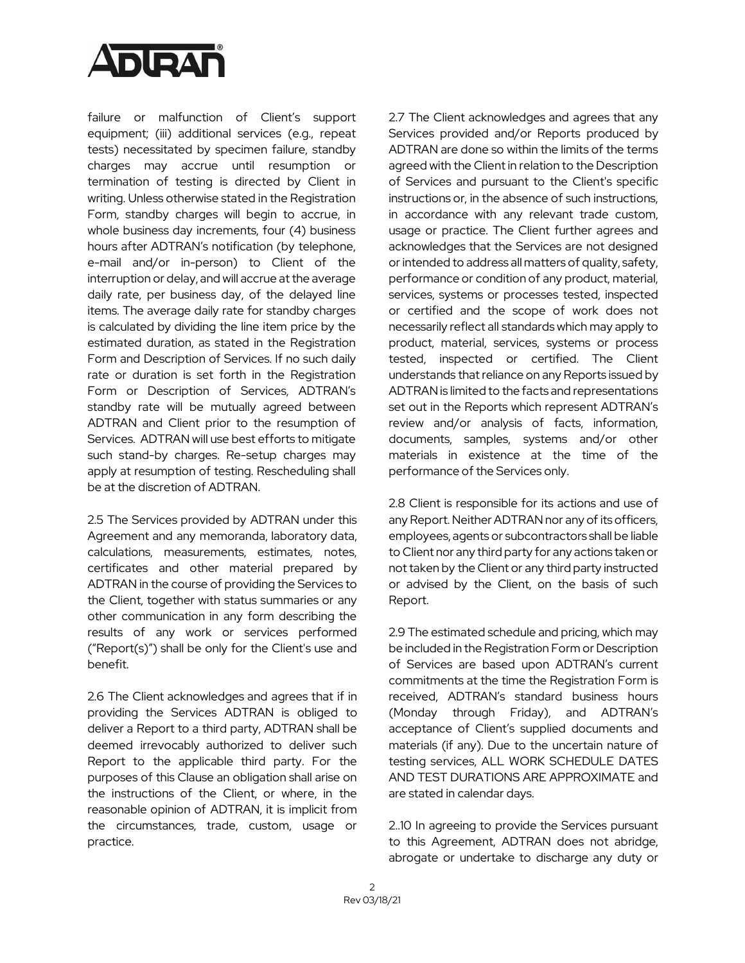

failure or malfunction of Client's support equipment; (iii) additional services (e.g., repeat tests) necessitated by specimen failure, standby charges may accrue until resumption or termination of testing is directed by Client in writing. Unless otherwise stated in the Registration Form, standby charges will begin to accrue, in whole business day increments, four (4) business hours after ADTRAN's notification (by telephone, e-mail and/or in-person) to Client of the interruption or delay, and will accrue at the average daily rate, per business day, of the delayed line items. The average daily rate for standby charges is calculated by dividing the line item price by the estimated duration, as stated in the Registration Form and Description of Services. If no such daily rate or duration is set forth in the Registration Form or Description of Services, ADTRAN's standby rate will be mutually agreed between ADTRAN and Client prior to the resumption of Services. ADTRAN will use best efforts to mitigate such stand-by charges. Re-setup charges may apply at resumption of testing. Rescheduling shall be at the discretion of ADTRAN.

2.5 The Services provided by ADTRAN under this Agreement and any memoranda, laboratory data, calculations, measurements, estimates, notes, certificates and other material prepared by ADTRAN in the course of providing the Services to the Client, together with status summaries or any other communication in any form describing the results of any work or services performed ("Report(s)") shall be only for the Client's use and benefit.

2.6 The Client acknowledges and agrees that if in providing the Services ADTRAN is obliged to deliver a Report to a third party, ADTRAN shall be deemed irrevocably authorized to deliver such Report to the applicable third party. For the purposes of this Clause an obligation shall arise on the instructions of the Client, or where, in the reasonable opinion of ADTRAN, it is implicit from the circumstances, trade, custom, usage or practice.

2.7 The Client acknowledges and agrees that any Services provided and/or Reports produced by ADTRAN are done so within the limits of the terms agreed with the Client in relation to the Description of Services and pursuant to the Client's specific instructions or, in the absence of such instructions, in accordance with any relevant trade custom, usage or practice. The Client further agrees and acknowledges that the Services are not designed or intended to address all matters of quality, safety, performance or condition of any product, material, services, systems or processes tested, inspected or certified and the scope of work does not necessarily reflect all standards which may apply to product, material, services, systems or process tested, inspected or certified. The Client understands that reliance on any Reports issued by ADTRAN is limited to the facts and representations set out in the Reports which represent ADTRAN's review and/or analysis of facts, information, documents, samples, systems and/or other materials in existence at the time of the performance of the Services only.

2.8 Client is responsible for its actions and use of any Report. Neither ADTRAN nor any of its officers, employees, agents or subcontractors shall be liable to Client nor any third party for any actions taken or not taken by the Client or any third party instructed or advised by the Client, on the basis of such Report.

2.9 The estimated schedule and pricing, which may be included in the Registration Form or Description of Services are based upon ADTRAN's current commitments at the time the Registration Form is received, ADTRAN's standard business hours (Monday through Friday), and ADTRAN's acceptance of Client's supplied documents and materials (if any). Due to the uncertain nature of testing services, ALL WORK SCHEDULE DATES AND TEST DURATIONS ARE APPROXIMATE and are stated in calendar days.

2..10 In agreeing to provide the Services pursuant to this Agreement, ADTRAN does not abridge, abrogate or undertake to discharge any duty or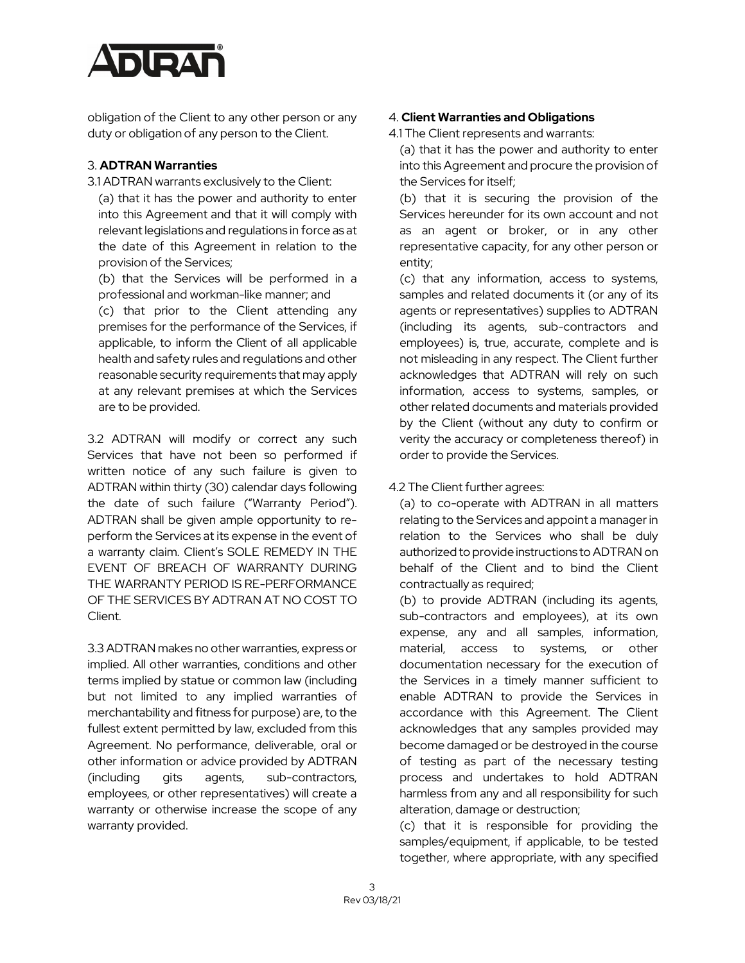

obligation of the Client to any other person or any duty or obligation of any person to the Client.

## 3. **ADTRAN Warranties**

3.1 ADTRAN warrants exclusively to the Client:

(a) that it has the power and authority to enter into this Agreement and that it will comply with relevant legislations and regulations in force as at the date of this Agreement in relation to the provision of the Services;

(b) that the Services will be performed in a professional and workman-like manner; and

(c) that prior to the Client attending any premises for the performance of the Services, if applicable, to inform the Client of all applicable health and safety rules and regulations and other reasonable security requirements that may apply at any relevant premises at which the Services are to be provided.

3.2 ADTRAN will modify or correct any such Services that have not been so performed if written notice of any such failure is given to ADTRAN within thirty (30) calendar days following the date of such failure ("Warranty Period"). ADTRAN shall be given ample opportunity to reperform the Services at its expense in the event of a warranty claim. Client's SOLE REMEDY IN THE EVENT OF BREACH OF WARRANTY DURING THE WARRANTY PERIOD IS RE-PERFORMANCE OF THE SERVICES BY ADTRAN AT NO COST TO Client.

3.3 ADTRAN makes no other warranties, express or implied. All other warranties, conditions and other terms implied by statue or common law (including but not limited to any implied warranties of merchantability and fitness for purpose) are, to the fullest extent permitted by law, excluded from this Agreement. No performance, deliverable, oral or other information or advice provided by ADTRAN (including gits agents, sub-contractors, employees, or other representatives) will create a warranty or otherwise increase the scope of any warranty provided.

## 4. **Client Warranties and Obligations**

4.1 The Client represents and warrants:

(a) that it has the power and authority to enter into this Agreement and procure the provision of the Services for itself;

(b) that it is securing the provision of the Services hereunder for its own account and not as an agent or broker, or in any other representative capacity, for any other person or entity;

(c) that any information, access to systems, samples and related documents it (or any of its agents or representatives) supplies to ADTRAN (including its agents, sub-contractors and employees) is, true, accurate, complete and is not misleading in any respect. The Client further acknowledges that ADTRAN will rely on such information, access to systems, samples, or other related documents and materials provided by the Client (without any duty to confirm or verity the accuracy or completeness thereof) in order to provide the Services.

## 4.2 The Client further agrees:

(a) to co-operate with ADTRAN in all matters relating to the Services and appoint a manager in relation to the Services who shall be duly authorized to provide instructions to ADTRAN on behalf of the Client and to bind the Client contractually as required;

(b) to provide ADTRAN (including its agents, sub-contractors and employees), at its own expense, any and all samples, information, material, access to systems, or other documentation necessary for the execution of the Services in a timely manner sufficient to enable ADTRAN to provide the Services in accordance with this Agreement. The Client acknowledges that any samples provided may become damaged or be destroyed in the course of testing as part of the necessary testing process and undertakes to hold ADTRAN harmless from any and all responsibility for such alteration, damage or destruction;

(c) that it is responsible for providing the samples/equipment, if applicable, to be tested together, where appropriate, with any specified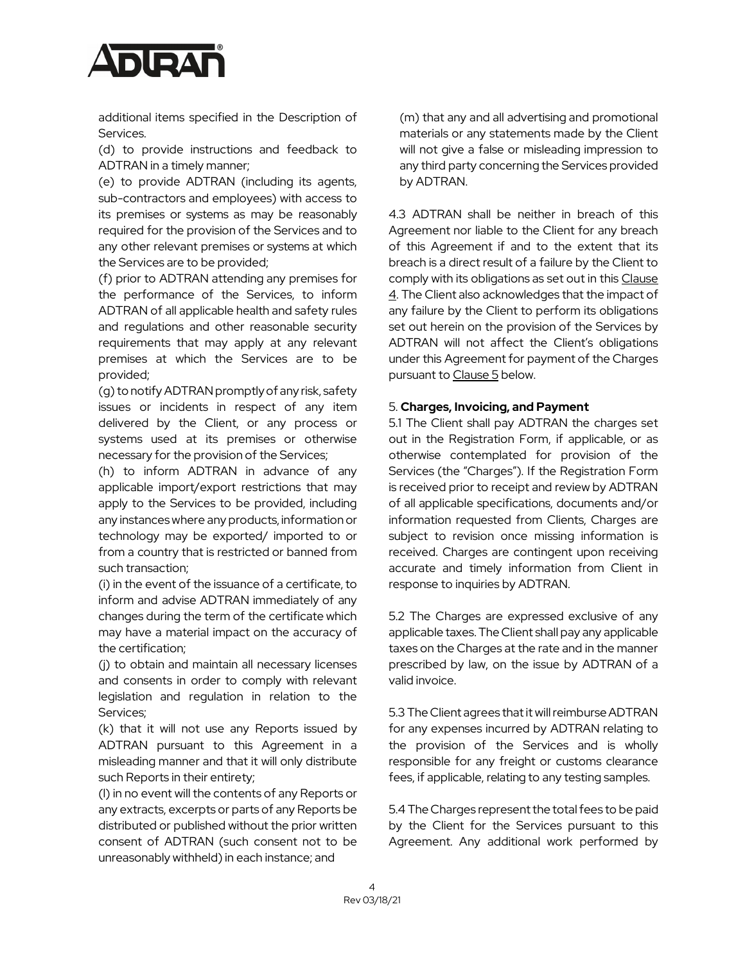

additional items specified in the Description of Services.

(d) to provide instructions and feedback to ADTRAN in a timely manner;

(e) to provide ADTRAN (including its agents, sub-contractors and employees) with access to its premises or systems as may be reasonably required for the provision of the Services and to any other relevant premises or systems at which the Services are to be provided;

(f) prior to ADTRAN attending any premises for the performance of the Services, to inform ADTRAN of all applicable health and safety rules and regulations and other reasonable security requirements that may apply at any relevant premises at which the Services are to be provided;

(g) to notify ADTRAN promptlyof any risk, safety issues or incidents in respect of any item delivered by the Client, or any process or systems used at its premises or otherwise necessary for the provision of the Services;

(h) to inform ADTRAN in advance of any applicable import/export restrictions that may apply to the Services to be provided, including any instances where any products, information or technology may be exported/ imported to or from a country that is restricted or banned from such transaction;

(i) in the event of the issuance of a certificate,to inform and advise ADTRAN immediately of any changes during the term of the certificate which may have a material impact on the accuracy of the certification;

(j) to obtain and maintain all necessary licenses and consents in order to comply with relevant legislation and regulation in relation to the Services;

(k) that it will not use any Reports issued by ADTRAN pursuant to this Agreement in a misleading manner and that it will only distribute such Reports in their entirety;

(l) in no event will the contents of any Reports or any extracts, excerpts or parts of any Reports be distributed or published without the prior written consent of ADTRAN (such consent not to be unreasonably withheld) in each instance; and

(m) that any and all advertising and promotional materials or any statements made by the Client will not give a false or misleading impression to any third party concerning the Services provided by ADTRAN.

4.3 ADTRAN shall be neither in breach of this Agreement nor liable to the Client for any breach of this Agreement if and to the extent that its breach is a direct result of a failure by the Client to comply with its obligations as set out in this Clause 4. The Client also acknowledges that the impact of any failure by the Client to perform its obligations set out herein on the provision of the Services by ADTRAN will not affect the Client's obligations under this Agreement for payment of the Charges pursuant to Clause 5 below.

#### 5. **Charges, Invoicing, and Payment**

5.1 The Client shall pay ADTRAN the charges set out in the Registration Form, if applicable, or as otherwise contemplated for provision of the Services (the "Charges"). If the Registration Form is received prior to receipt and review by ADTRAN of all applicable specifications, documents and/or information requested from Clients, Charges are subject to revision once missing information is received. Charges are contingent upon receiving accurate and timely information from Client in response to inquiries by ADTRAN.

5.2 The Charges are expressed exclusive of any applicable taxes. The Client shall pay any applicable taxes on the Charges at the rate and in the manner prescribed by law, on the issue by ADTRAN of a valid invoice.

5.3 The Client agrees that it will reimburse ADTRAN for any expenses incurred by ADTRAN relating to the provision of the Services and is wholly responsible for any freight or customs clearance fees, if applicable, relating to any testing samples.

5.4 The Charges represent the total fees to be paid by the Client for the Services pursuant to this Agreement. Any additional work performed by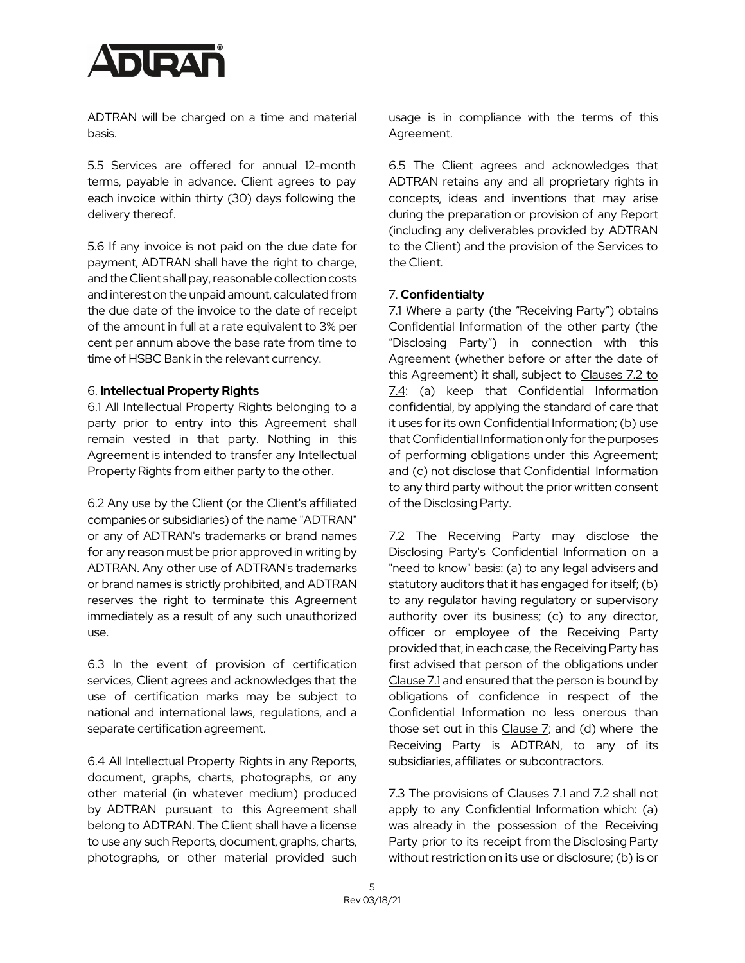

ADTRAN will be charged on a time and material basis.

5.5 Services are offered for annual 12-month terms, payable in advance. Client agrees to pay each invoice within thirty (30) days following the delivery thereof.

5.6 If any invoice is not paid on the due date for payment, ADTRAN shall have the right to charge, and the Client shall pay, reasonable collection costs and interest on the unpaid amount, calculated from the due date of the invoice to the date of receipt of the amount in full at a rate equivalent to 3% per cent per annum above the base rate from time to time of HSBC Bank in the relevant currency.

#### 6. **Intellectual Property Rights**

6.1 All Intellectual Property Rights belonging to a party prior to entry into this Agreement shall remain vested in that party. Nothing in this Agreement is intended to transfer any Intellectual Property Rights from either party to the other.

6.2 Any use by the Client (or the Client's affiliated companies or subsidiaries) of the name "ADTRAN" or any of ADTRAN's trademarks or brand names for any reason must be prior approved in writing by ADTRAN. Any other use of ADTRAN's trademarks or brand names is strictly prohibited, and ADTRAN reserves the right to terminate this Agreement immediately as a result of any such unauthorized use.

6.3 In the event of provision of certification services, Client agrees and acknowledges that the use of certification marks may be subject to national and international laws, regulations, and a separate certification agreement.

6.4 All Intellectual Property Rights in any Reports, document, graphs, charts, photographs, or any other material (in whatever medium) produced by ADTRAN pursuant to this Agreement shall belong to ADTRAN. The Client shall have a license to use any such Reports, document, graphs, charts, photographs, or other material provided such usage is in compliance with the terms of this Agreement.

6.5 The Client agrees and acknowledges that ADTRAN retains any and all proprietary rights in concepts, ideas and inventions that may arise during the preparation or provision of any Report (including any deliverables provided by ADTRAN to the Client) and the provision of the Services to the Client.

## 7. **Confidentialty**

7.1 Where a party (the "Receiving Party") obtains Confidential Information of the other party (the "Disclosing Party") in connection with this Agreement (whether before or after the date of this Agreement) it shall, subject to Clauses 7.2 to 7.4: (a) keep that Confidential Information confidential, by applying the standard of care that it uses for its own Confidential Information; (b) use that Confidential Information only for the purposes of performing obligations under this Agreement; and (c) not disclose that Confidential Information to any third party without the prior written consent of the Disclosing Party.

7.2 The Receiving Party may disclose the Disclosing Party's Confidential Information on a "need to know" basis: (a) to any legal advisers and statutory auditors that it has engaged for itself; (b) to any regulator having regulatory or supervisory authority over its business; (c) to any director, officer or employee of the Receiving Party provided that, in each case, the Receiving Party has first advised that person of the obligations under Clause 7.1 and ensured that the person is bound by obligations of confidence in respect of the Confidential Information no less onerous than those set out in this Clause 7; and (d) where the Receiving Party is ADTRAN, to any of its subsidiaries, affiliates or subcontractors.

7.3 The provisions of Clauses 7.1 and 7.2 shall not apply to any Confidential Information which: (a) was already in the possession of the Receiving Party prior to its receipt from the Disclosing Party without restriction on its use or disclosure; (b) is or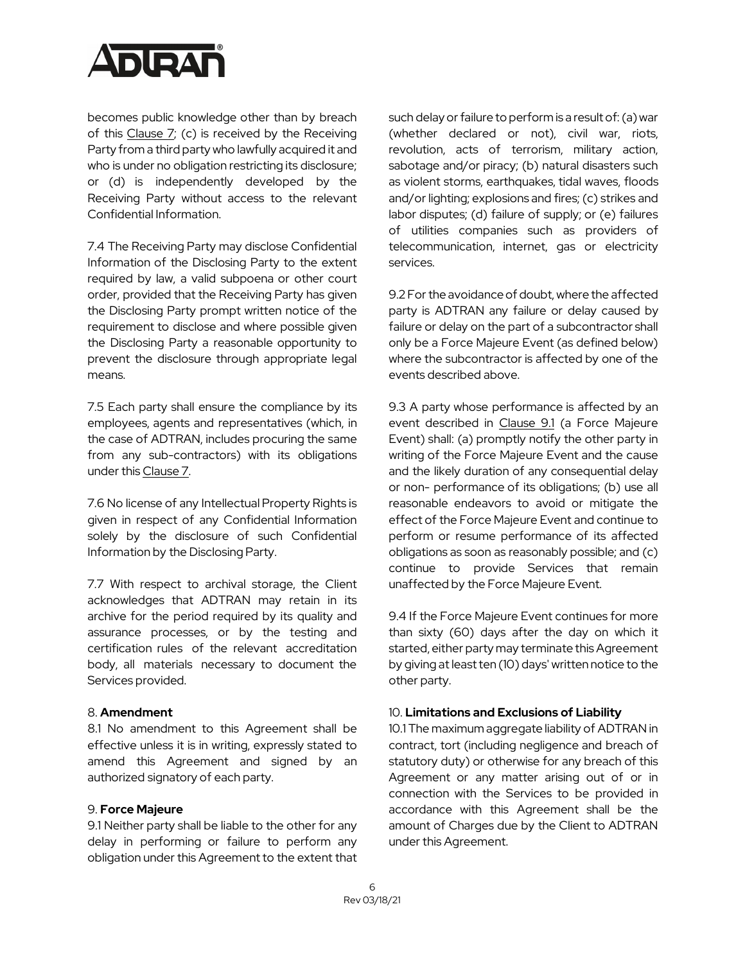

becomes public knowledge other than by breach of this Clause  $7$ ; (c) is received by the Receiving Party from a third party who lawfully acquired it and who is under no obligation restricting its disclosure; or (d) is independently developed by the Receiving Party without access to the relevant Confidential Information.

7.4 The Receiving Party may disclose Confidential Information of the Disclosing Party to the extent required by law, a valid subpoena or other court order, provided that the Receiving Party has given the Disclosing Party prompt written notice of the requirement to disclose and where possible given the Disclosing Party a reasonable opportunity to prevent the disclosure through appropriate legal means.

7.5 Each party shall ensure the compliance by its employees, agents and representatives (which, in the case of ADTRAN, includes procuring the same from any sub-contractors) with its obligations under this Clause 7.

7.6 No license of any Intellectual Property Rights is given in respect of any Confidential Information solely by the disclosure of such Confidential Information by the Disclosing Party.

7.7 With respect to archival storage, the Client acknowledges that ADTRAN may retain in its archive for the period required by its quality and assurance processes, or by the testing and certification rules of the relevant accreditation body, all materials necessary to document the Services provided.

#### 8. **Amendment**

8.1 No amendment to this Agreement shall be effective unless it is in writing, expressly stated to amend this Agreement and signed by an authorized signatory of each party.

## 9. **Force Majeure**

9.1 Neither party shall be liable to the other for any delay in performing or failure to perform any obligation under this Agreement to the extent that such delay or failure to perform is a result of: (a) war (whether declared or not), civil war, riots, revolution, acts of terrorism, military action, sabotage and/or piracy; (b) natural disasters such as violent storms, earthquakes, tidal waves, floods and/or lighting; explosions and fires; (c) strikes and labor disputes; (d) failure of supply; or (e) failures of utilities companies such as providers of telecommunication, internet, gas or electricity services.

9.2 For the avoidance of doubt, where the affected party is ADTRAN any failure or delay caused by failure or delay on the part of a subcontractor shall only be a Force Majeure Event (as defined below) where the subcontractor is affected by one of the events described above.

9.3 A party whose performance is affected by an event described in Clause 9.1 (a Force Majeure Event) shall: (a) promptly notify the other party in writing of the Force Majeure Event and the cause and the likely duration of any consequential delay or non- performance of its obligations; (b) use all reasonable endeavors to avoid or mitigate the effect of the Force Majeure Event and continue to perform or resume performance of its affected obligations as soon as reasonably possible; and (c) continue to provide Services that remain unaffected by the Force Majeure Event.

9.4 If the Force Majeure Event continues for more than sixty (60) days after the day on which it started, either party may terminate this Agreement by giving at least ten (10) days' written notice to the other party.

#### 10. **Limitations and Exclusions of Liability**

10.1 The maximum aggregate liability of ADTRAN in contract, tort (including negligence and breach of statutory duty) or otherwise for any breach of this Agreement or any matter arising out of or in connection with the Services to be provided in accordance with this Agreement shall be the amount of Charges due by the Client to ADTRAN under this Agreement.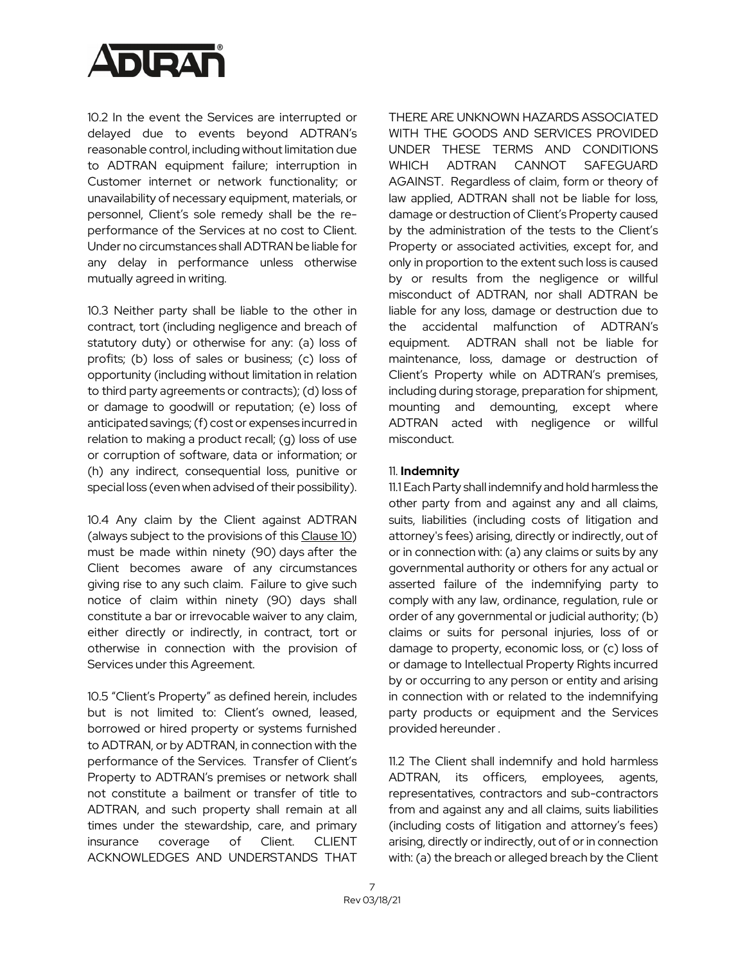

10.2 In the event the Services are interrupted or delayed due to events beyond ADTRAN's reasonable control, including without limitation due to ADTRAN equipment failure; interruption in Customer internet or network functionality; or unavailability of necessary equipment, materials, or personnel, Client's sole remedy shall be the reperformance of the Services at no cost to Client. Under no circumstances shall ADTRAN be liable for any delay in performance unless otherwise mutually agreed in writing.

10.3 Neither party shall be liable to the other in contract, tort (including negligence and breach of statutory duty) or otherwise for any: (a) loss of profits; (b) loss of sales or business; (c) loss of opportunity (including without limitation in relation to third party agreements or contracts); (d) loss of or damage to goodwill or reputation; (e) loss of anticipated savings; (f) cost or expenses incurred in relation to making a product recall; (g) loss of use or corruption of software, data or information; or (h) any indirect, consequential loss, punitive or special loss (even when advised of their possibility).

10.4 Any claim by the Client against ADTRAN (always subject to the provisions of this Clause 10) must be made within ninety (90) days after the Client becomes aware of any circumstances giving rise to any such claim. Failure to give such notice of claim within ninety (90) days shall constitute a bar or irrevocable waiver to any claim, either directly or indirectly, in contract, tort or otherwise in connection with the provision of Services under this Agreement.

10.5 "Client's Property" as defined herein, includes but is not limited to: Client's owned, leased, borrowed or hired property or systems furnished to ADTRAN, or by ADTRAN, in connection with the performance of the Services. Transfer of Client's Property to ADTRAN's premises or network shall not constitute a bailment or transfer of title to ADTRAN, and such property shall remain at all times under the stewardship, care, and primary insurance coverage of Client. CLIENT ACKNOWLEDGES AND UNDERSTANDS THAT

THERE ARE UNKNOWN HAZARDS ASSOCIATED WITH THE GOODS AND SERVICES PROVIDED UNDER THESE TERMS AND CONDITIONS WHICH ADTRAN CANNOT SAFEGUARD AGAINST. Regardless of claim, form or theory of law applied, ADTRAN shall not be liable for loss, damage or destruction of Client's Property caused by the administration of the tests to the Client's Property or associated activities, except for, and only in proportion to the extent such loss is caused by or results from the negligence or willful misconduct of ADTRAN, nor shall ADTRAN be liable for any loss, damage or destruction due to the accidental malfunction of ADTRAN's equipment. ADTRAN shall not be liable for maintenance, loss, damage or destruction of Client's Property while on ADTRAN's premises, including during storage, preparation for shipment, mounting and demounting, except where ADTRAN acted with negligence or willful misconduct.

## 11. **Indemnity**

11.1 Each Party shall indemnify and hold harmless the other party from and against any and all claims, suits, liabilities (including costs of litigation and attorney's fees) arising, directly or indirectly, out of or in connection with: (a) any claims or suits by any governmental authority or others for any actual or asserted failure of the indemnifying party to comply with any law, ordinance, regulation, rule or order of any governmental or judicial authority; (b) claims or suits for personal injuries, loss of or damage to property, economic loss, or (c) loss of or damage to Intellectual Property Rights incurred by or occurring to any person or entity and arising in connection with or related to the indemnifying party products or equipment and the Services provided hereunder .

11.2 The Client shall indemnify and hold harmless ADTRAN, its officers, employees, agents, representatives, contractors and sub-contractors from and against any and all claims, suits liabilities (including costs of litigation and attorney's fees) arising, directly or indirectly, out of or in connection with: (a) the breach or alleged breach by the Client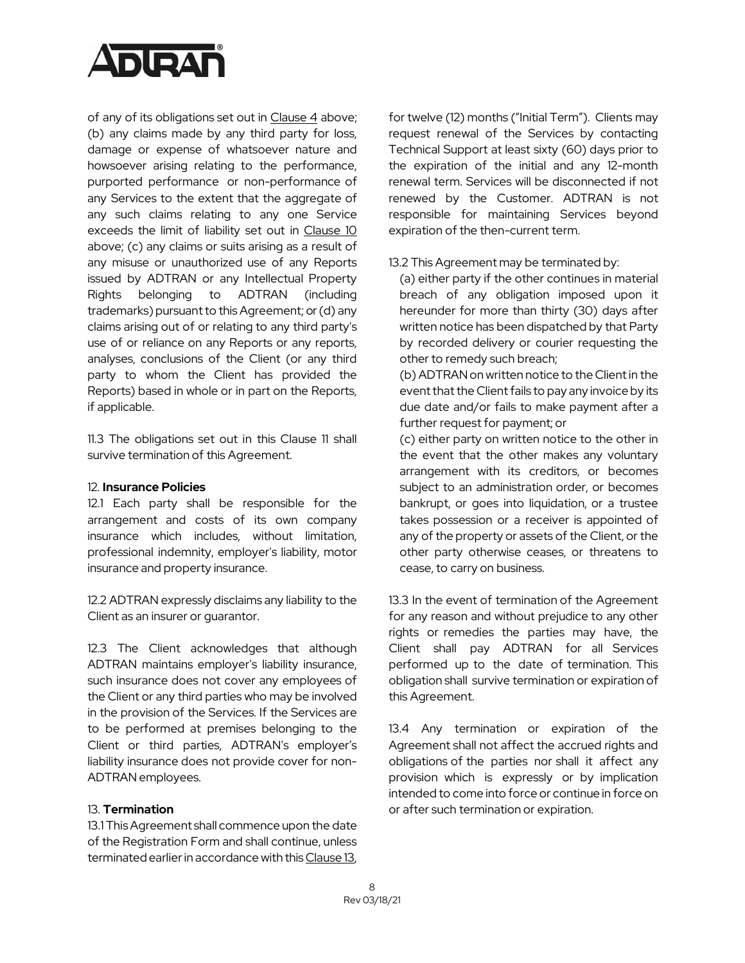

of any of its obligations set out in Clause 4 above; (b) any claims made by any third party for loss, damage or expense of whatsoever nature and howsoever arising relating to the performance, purported performance or non-performance of any Services to the extent that the aggregate of any such claims relating to any one Service exceeds the limit of liability set out in Clause 10 above; (c) any claims or suits arising as a result of any misuse or unauthorized use of any Reports issued by ADTRAN or any Intellectual Property Rights belonging to ADTRAN (including trademarks) pursuant to this Agreement; or (d) any claims arising out of or relating to any third party's use of or reliance on any Reports or any reports, analyses, conclusions of the Client (or any third party to whom the Client has provided the Reports) based in whole or in part on the Reports, if applicable.

11.3 The obligations set out in this Clause 11 shall survive termination of this Agreement.

#### 12. **Insurance Policies**

12.1 Each party shall be responsible for the arrangement and costs of its own company insurance which includes, without limitation, professional indemnity, employer's liability, motor insurance and property insurance.

12.2 ADTRAN expressly disclaims any liability to the Client as an insurer or guarantor.

12.3 The Client acknowledges that although ADTRAN maintains employer's liability insurance, such insurance does not cover any employees of the Client or any third parties who may be involved in the provision of the Services. If the Services are to be performed at premises belonging to the Client or third parties, ADTRAN's employer's liability insurance does not provide cover for non-ADTRAN employees.

## 13. **Termination**

13.1 This Agreement shall commence upon the date of the Registration Form and shall continue, unless terminated earlier in accordance with this Clause 13,

for twelve (12) months ("Initial Term"). Clients may request renewal of the Services by contacting Technical Support at least sixty (60) days prior to the expiration of the initial and any 12-month renewal term. Services will be disconnected if not renewed by the Customer. ADTRAN is not responsible for maintaining Services beyond expiration of the then-current term.

## 13.2 This Agreement may be terminated by:

(a) either party if the other continues in material breach of any obligation imposed upon it hereunder for more than thirty (30) days after written notice has been dispatched by that Party by recorded delivery or courier requesting the other to remedy such breach;

(b) ADTRAN on written notice to the Clientin the event that the Client fails to pay any invoice by its due date and/or fails to make payment after a further request for payment; or

(c) either party on written notice to the other in the event that the other makes any voluntary arrangement with its creditors, or becomes subject to an administration order, or becomes bankrupt, or goes into liquidation, or a trustee takes possession or a receiver is appointed of any of the property or assets of the Client, or the other party otherwise ceases, or threatens to cease, to carry on business.

13.3 In the event of termination of the Agreement for any reason and without prejudice to any other rights or remedies the parties may have, the Client shall pay ADTRAN for all Services performed up to the date of termination. This obligation shall survive termination or expiration of this Agreement.

13.4 Any termination or expiration of the Agreement shall not affect the accrued rights and obligations of the parties nor shall it affect any provision which is expressly or by implication intended to come into force or continue in force on or after such termination or expiration.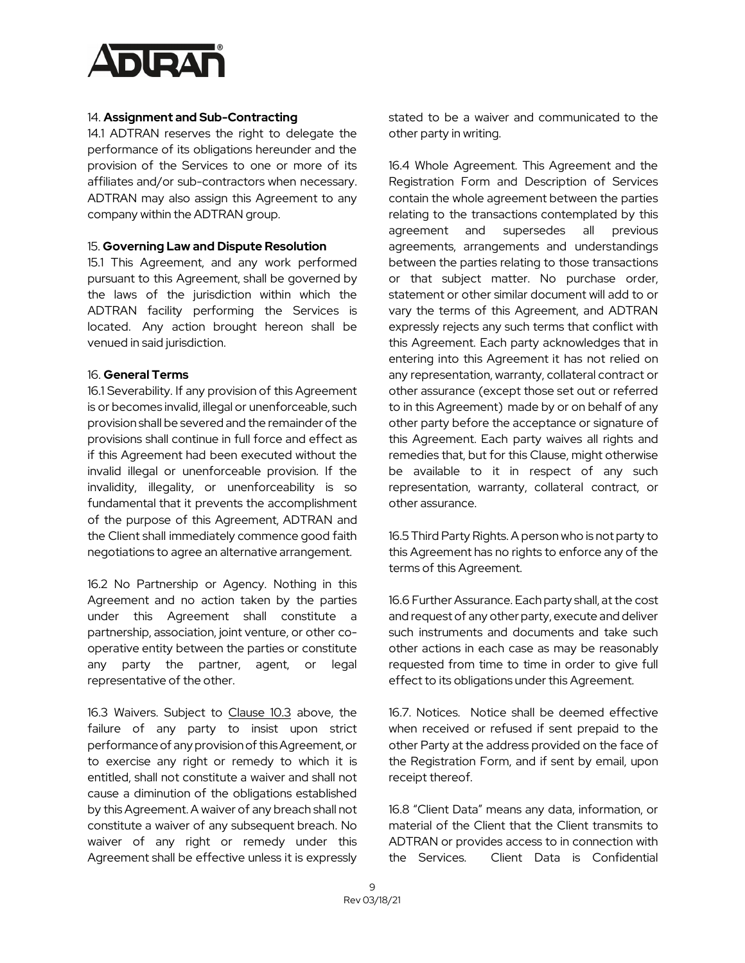

## 14. **Assignment and Sub-Contracting**

14.1 ADTRAN reserves the right to delegate the performance of its obligations hereunder and the provision of the Services to one or more of its affiliates and/or sub-contractors when necessary. ADTRAN may also assign this Agreement to any company within the ADTRAN group.

#### 15. **Governing Law and Dispute Resolution**

15.1 This Agreement, and any work performed pursuant to this Agreement, shall be governed by the laws of the jurisdiction within which the ADTRAN facility performing the Services is located. Any action brought hereon shall be venued in said jurisdiction.

#### 16. **General Terms**

16.1 Severability. If any provision of this Agreement is or becomes invalid, illegal or unenforceable, such provision shall be severed and the remainder of the provisions shall continue in full force and effect as if this Agreement had been executed without the invalid illegal or unenforceable provision. If the invalidity, illegality, or unenforceability is so fundamental that it prevents the accomplishment of the purpose of this Agreement, ADTRAN and the Client shall immediately commence good faith negotiations to agree an alternative arrangement.

16.2 No Partnership or Agency. Nothing in this Agreement and no action taken by the parties under this Agreement shall constitute a partnership, association, joint venture, or other cooperative entity between the parties or constitute any party the partner, agent, or legal representative of the other.

16.3 Waivers. Subject to Clause 10.3 above, the failure of any party to insist upon strict performance of any provision of this Agreement, or to exercise any right or remedy to which it is entitled, shall not constitute a waiver and shall not cause a diminution of the obligations established by this Agreement.A waiver of any breach shall not constitute a waiver of any subsequent breach. No waiver of any right or remedy under this Agreement shall be effective unless it is expressly

stated to be a waiver and communicated to the other party in writing.

16.4 Whole Agreement. This Agreement and the Registration Form and Description of Services contain the whole agreement between the parties relating to the transactions contemplated by this agreement and supersedes all previous agreements, arrangements and understandings between the parties relating to those transactions or that subject matter. No purchase order, statement or other similar document will add to or vary the terms of this Agreement, and ADTRAN expressly rejects any such terms that conflict with this Agreement. Each party acknowledges that in entering into this Agreement it has not relied on any representation, warranty, collateral contract or other assurance (except those set out or referred to in this Agreement) made by or on behalf of any other party before the acceptance or signature of this Agreement. Each party waives all rights and remedies that, but for this Clause, might otherwise be available to it in respect of any such representation, warranty, collateral contract, or other assurance.

16.5 Third Party Rights. A person who is not party to this Agreement has no rights to enforce any of the terms of this Agreement.

16.6 Further Assurance. Each party shall, at the cost and request of any other party, execute and deliver such instruments and documents and take such other actions in each case as may be reasonably requested from time to time in order to give full effect to its obligations under this Agreement.

16.7. Notices. Notice shall be deemed effective when received or refused if sent prepaid to the other Party at the address provided on the face of the Registration Form, and if sent by email, upon receipt thereof.

16.8 "Client Data" means any data, information, or material of the Client that the Client transmits to ADTRAN or provides access to in connection with the Services. Client Data is Confidential